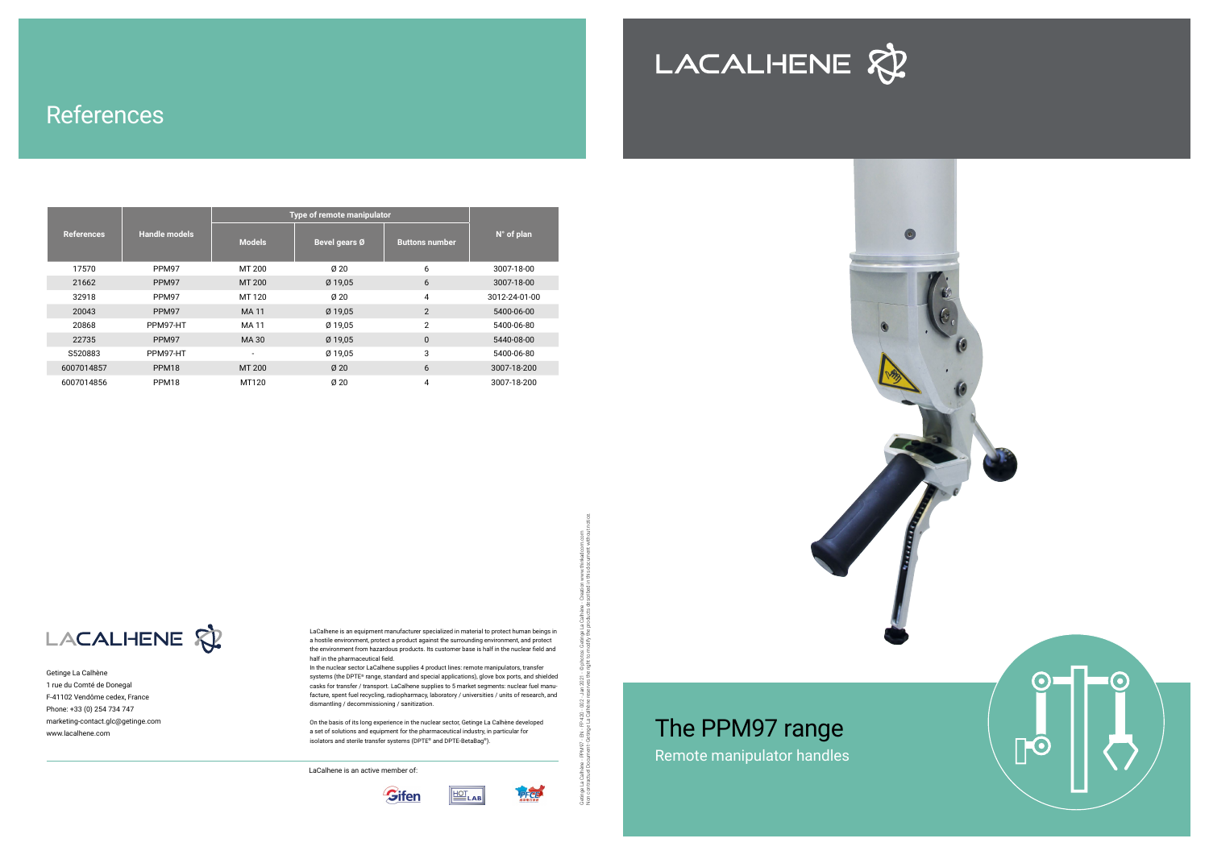Getinge La Calhène 1 rue du Comté de Donegal F-41102 Vendôme cedex, France Phone: +33 (0) 254 734 747 marketing-contact.glc@getinge.com www.lacalhene.com

LaCalhene is an active member of:





**ELAB** 

LaCalhene is an equipment manufacturer specialized in material to protect human beings in a hostile environment, protect a product against the surrounding environment, and protect the environment from hazardous products. Its customer base is half in the nuclear field and half in the pharmaceutical field.

In the nuclear sector LaCalhene supplies 4 product lines: remote manipulators, transfer systems (the DPTE® range, standard and special applications), glove box ports, and shielded casks for transfer / transport. LaCalhene supplies to 5 market segments: nuclear fuel manufacture, spent fuel recycling, radiopharmacy, laboratory / universities / units of research, and dismantling / decommissioning / sanitization.

On the basis of its long experience in the nuclear sector, Getinge La Calhène developed a set of solutions and equipment for the pharmaceutical industry, in particular for isolators and sterile transfer systems (DPTE® and DPTE-BetaBag®).

Getinge La Calhène - PPM97 - EN - FP 420 - 002 - Jan 2021 - © photos: Getinge La Calhène - Creation www.thinkadcom.com Non contractuel Document- Getinge La Calhène reserves the right to modify the products described in this document without notice.

|                   |                      | Type of remote manipulator |               |                       |                     |
|-------------------|----------------------|----------------------------|---------------|-----------------------|---------------------|
| <b>References</b> | <b>Handle models</b> | <b>Models</b>              | Bevel gears Ø | <b>Buttons number</b> | $N^{\circ}$ of plan |
| 17570             | PPM97                | MT 200                     | Ø20           | 6                     | 3007-18-00          |
| 21662             | PPM97                | MT 200                     | Ø 19,05       | 6                     | 3007-18-00          |
| 32918             | PPM97                | MT 120                     | Ø20           | 4                     | 3012-24-01-00       |
| 20043             | PPM97                | <b>MA11</b>                | Ø 19,05       | 2                     | 5400-06-00          |
| 20868             | PPM97-HT             | <b>MA11</b>                | Ø 19,05       | $\overline{2}$        | 5400-06-80          |
| 22735             | PPM97                | MA 30                      | Ø 19,05       | $\mathbf 0$           | 5440-08-00          |
| S520883           | PPM97-HT             | $\overline{\phantom{a}}$   | Ø 19,05       | 3                     | 5400-06-80          |
| 6007014857        | PPM <sub>18</sub>    | MT 200                     | Ø20           | 6                     | 3007-18-200         |
| 6007014856        | PPM <sub>18</sub>    | MT120                      | Ø20           | 4                     | 3007-18-200         |

LACALHENE &





# References

## The PPM97 range Remote manipulator handles